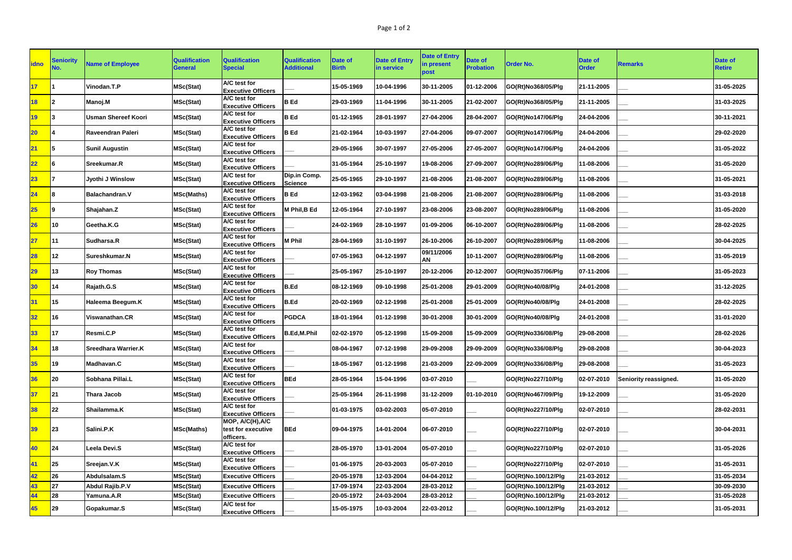| <b>idno</b>     | <b>Seniority</b><br>No. | <b>Name of Employee</b>    | <b>Qualification</b><br><b>General</b> | <b>Qualification</b><br><b>Special</b>              | <b>Qualification</b><br><b>Additional</b> | Date of<br><b>Birth</b> | <b>Date of Entry</b><br>in service | <b>Date of Entry</b><br>in present<br>post | <b>Date of</b><br><b>Probation</b> | <b>Order No.</b>    | Date of<br><b>Order</b> | <b>Remarks</b>        | <b>Date of</b><br><b>Retire</b> |
|-----------------|-------------------------|----------------------------|----------------------------------------|-----------------------------------------------------|-------------------------------------------|-------------------------|------------------------------------|--------------------------------------------|------------------------------------|---------------------|-------------------------|-----------------------|---------------------------------|
| 17              |                         | Vinodan.T.P                | MSc(Stat)                              | A/C test for<br><b>Executive Officers</b>           |                                           | 15-05-1969              | 10-04-1996                         | 30-11-2005                                 | 01-12-2006                         | GO(Rt)No368/05/Plg  | 21-11-2005              |                       | 31-05-2025                      |
| 18              | 2                       | Manoj.M                    | <b>MSc(Stat)</b>                       | A/C test for<br><b>Executive Officers</b>           | <b>B</b> Ed                               | 29-03-1969              | 11-04-1996                         | 30-11-2005                                 | 21-02-2007                         | GO(Rt)No368/05/Plg  | 21-11-2005              |                       | 31-03-2025                      |
| 19              |                         | <b>Usman Shereef Koori</b> | <b>MSc(Stat)</b>                       | A/C test for<br><b>Executive Officers</b>           | <b>B</b> Ed                               | 01-12-1965              | 28-01-1997                         | 27-04-2006                                 | 28-04-2007                         | GO(Rt)No147/06/Plg  | 24-04-2006              |                       | 30-11-2021                      |
| $20\,$          |                         | Raveendran Paleri          | MSc(Stat)                              | A/C test for<br><b>Executive Officers</b>           | <b>B</b> Ed                               | 21-02-1964              | 10-03-1997                         | 27-04-2006                                 | 09-07-2007                         | GO(Rt)No147/06/Plg  | 24-04-2006              |                       | 29-02-2020                      |
| 21              | 5                       | <b>Sunil Augustin</b>      | <b>MSc(Stat)</b>                       | A/C test for<br><b>Executive Officers</b>           |                                           | 29-05-1966              | 30-07-1997                         | 27-05-2006                                 | 27-05-2007                         | GO(Rt)No147/06/Plg  | 24-04-2006              |                       | 31-05-2022                      |
| 22              | 16                      | Sreekumar.R                | <b>MSc(Stat)</b>                       | A/C test for<br><b>Executive Officers</b>           |                                           | 31-05-1964              | 25-10-1997                         | 19-08-2006                                 | 27-09-2007                         | GO(Rt)No289/06/Plg  | 11-08-2006              |                       | 31-05-2020                      |
| 23              |                         | Jyothi J Winslow           | MSc(Stat)                              | A/C test for<br><b>Executive Officers</b>           | Dip.in Comp.<br><b>Science</b>            | 25-05-1965              | 29-10-1997                         | 21-08-2006                                 | 21-08-2007                         | GO(Rt)No289/06/Plg  | 11-08-2006              |                       | 31-05-2021                      |
| 24              | 18                      | <b>Balachandran.V</b>      | <b>MSc(Maths)</b>                      | A/C test for<br><b>Executive Officers</b>           | <b>B</b> Ed                               | 12-03-1962              | 03-04-1998                         | 21-08-2006                                 | 21-08-2007                         | GO(Rt)No289/06/Plg  | 11-08-2006              |                       | 31-03-2018                      |
| 25              | 19                      | Shajahan.Z                 | <b>MSc(Stat)</b>                       | A/C test for<br><b>Executive Officers</b>           | M Phil, B Ed                              | 12-05-1964              | 27-10-1997                         | 23-08-2006                                 | 23-08-2007                         | GO(Rt)No289/06/Plg  | 11-08-2006              |                       | 31-05-2020                      |
| 26              | 10                      | Geetha.K.G                 | <b>MSc(Stat)</b>                       | A/C test for<br><b>Executive Officers</b>           |                                           | 24-02-1969              | 28-10-1997                         | 01-09-2006                                 | 06-10-2007                         | GO(Rt)No289/06/Plg  | 11-08-2006              |                       | 28-02-2025                      |
| 27              | 11                      | Sudharsa.R                 | <b>MSc(Stat)</b>                       | A/C test for<br><b>Executive Officers</b>           | <b>M Phil</b>                             | 28-04-1969              | 31-10-1997                         | 26-10-2006                                 | 26-10-2007                         | GO(Rt)No289/06/Plg  | 11-08-2006              |                       | 30-04-2025                      |
| 28              | $ 12\rangle$            | Sureshkumar.N              | <b>MSc(Stat)</b>                       | A/C test for<br><b>Executive Officers</b>           |                                           | 07-05-1963              | 04-12-1997                         | 09/11/2006<br>AN                           | 10-11-2007                         | GO(Rt)No289/06/Plg  | 11-08-2006              |                       | 31-05-2019                      |
| 29              | <b>13</b>               | <b>Roy Thomas</b>          | <b>MSc(Stat)</b>                       | A/C test for<br><b>Executive Officers</b>           |                                           | 25-05-1967              | 25-10-1997                         | 20-12-2006                                 | 20-12-2007                         | GO(Rt)No357/06/Plg  | 07-11-2006              |                       | 31-05-2023                      |
| 30              | 14                      | Rajath.G.S                 | MSc(Stat)                              | A/C test for<br><b>Executive Officers</b>           | <b>B.Ed</b>                               | 08-12-1969              | 09-10-1998                         | 25-01-2008                                 | 29-01-2009                         | GO(Rt)No40/08/Plg   | 24-01-2008              |                       | 31-12-2025                      |
| 31              | 15                      | Haleema Beegum.K           | <b>MSc(Stat)</b>                       | A/C test for<br><b>Executive Officers</b>           | <b>B.Ed</b>                               | 20-02-1969              | 02-12-1998                         | 25-01-2008                                 | 25-01-2009                         | GO(Rt)No40/08/Plg   | 24-01-2008              |                       | 28-02-2025                      |
| 32 <sub>2</sub> | <b>16</b>               | Viswanathan.CR             | <b>MSc(Stat)</b>                       | A/C test for<br><b>Executive Officers</b>           | <b>PGDCA</b>                              | 18-01-1964              | 01-12-1998                         | 30-01-2008                                 | 30-01-2009                         | GO(Rt)No40/08/Plg   | 24-01-2008              |                       | 31-01-2020                      |
| 33              | 17                      | Resmi.C.P                  | MSc(Stat)                              | <b>A/C</b> test for<br><b>Executive Officers</b>    | <b>B.Ed,M.Phil</b>                        | 02-02-1970              | 05-12-1998                         | 15-09-2008                                 | 15-09-2009                         | GO(Rt)No336/08/Plg  | 29-08-2008              |                       | 28-02-2026                      |
| 34              | 18                      | <b>Sreedhara Warrier.K</b> | <b>MSc(Stat)</b>                       | A/C test for<br><b>Executive Officers</b>           |                                           | 08-04-1967              | 07-12-1998                         | 29-09-2008                                 | 29-09-2009                         | GO(Rt)No336/08/Plg  | 29-08-2008              |                       | 30-04-2023                      |
| 35              | <b>19</b>               | Madhavan.C                 | MSc(Stat)                              | A/C test for<br><b>Executive Officers</b>           |                                           | 18-05-1967              | 01-12-1998                         | 21-03-2009                                 | 22-09-2009                         | GO(Rt)No336/08/Plg  | 29-08-2008              |                       | 31-05-2023                      |
| 36              | $ 20\rangle$            | Sobhana Pillai.L           | MSc(Stat)                              | A/C test for<br><b>Executive Officers</b>           | <b>BEd</b>                                | 28-05-1964              | 15-04-1996                         | 03-07-2010                                 |                                    | GO(Rt)No227/10/Plg  | 02-07-2010              | Seniority reassigned. | 31-05-2020                      |
| 37              | 21                      | Thara Jacob                | <b>MSc(Stat)</b>                       | A/C test for<br><b>Executive Officers</b>           |                                           | 25-05-1964              | 26-11-1998                         | 31-12-2009                                 | 01-10-2010                         | GO(Rt)No467/09/Plg  | 19-12-2009              |                       | 31-05-2020                      |
| 38              | 22                      | Shailamma.K                | <b>MSc(Stat)</b>                       | A/C test for<br><b>Executive Officers</b>           |                                           | 01-03-1975              | 03-02-2003                         | 05-07-2010                                 |                                    | GO(Rt)No227/10/Plg  | 02-07-2010              |                       | 28-02-2031                      |
| 39              | $\vert$ 23              | Salini.P.K                 | <b>MSc(Maths)</b>                      | MOP, A/C(H), A/C<br>test for executive<br>officers. | <b>BEd</b>                                | 09-04-1975              | 14-01-2004                         | 06-07-2010                                 |                                    | GO(Rt)No227/10/Plg  | 02-07-2010              |                       | 30-04-2031                      |
| 40              | 24                      | Leela Devi.S               | <b>MSc(Stat)</b>                       | A/C test for<br><b>Executive Officers</b>           |                                           | 28-05-1970              | 13-01-2004                         | 05-07-2010                                 |                                    | GO(Rt)No227/10/Plg  | 02-07-2010              |                       | 31-05-2026                      |
| 41              | 25                      | Sreejan.V.K                | <b>MSc(Stat)</b>                       | A/C test for<br><b>Executive Officers</b>           |                                           | 01-06-1975              | 20-03-2003                         | 05-07-2010                                 |                                    | GO(Rt)No227/10/Plg  | 02-07-2010              |                       | 31-05-2031                      |
| 42              | 26                      | Abdulsalam.S               | <b>MSc(Stat)</b>                       | <b>Executive Officers</b>                           |                                           | 20-05-1978              | 12-03-2004                         | 04-04-2012                                 |                                    | GO(Rt)No.100/12/Plg | 21-03-2012              |                       | 31-05-2034                      |
| 43              | 27                      | <b>Abdul Rajib.P.V</b>     | <b>MSc(Stat)</b>                       | <b>Executive Officers</b>                           |                                           | 17-09-1974              | 22-03-2004                         | 28-03-2012                                 |                                    | GO(Rt)No.100/12/Plg | 21-03-2012              |                       | 30-09-2030                      |
| 44              | <b>28</b>               | Yamuna.A.R                 | MSc(Stat)                              | <b>Executive Officers</b>                           |                                           | 20-05-1972              | 24-03-2004                         | 28-03-2012                                 |                                    | GO(Rt)No.100/12/Plg | 21-03-2012              |                       | 31-05-2028                      |
| 45              | $ 29\rangle$            | Gopakumar.S                | MSc(Stat)                              | A/C test for<br><b>Executive Officers</b>           |                                           | 15-05-1975              | 10-03-2004                         | 22-03-2012                                 |                                    | GO(Rt)No.100/12/Plg | 21-03-2012              |                       | 31-05-2031                      |